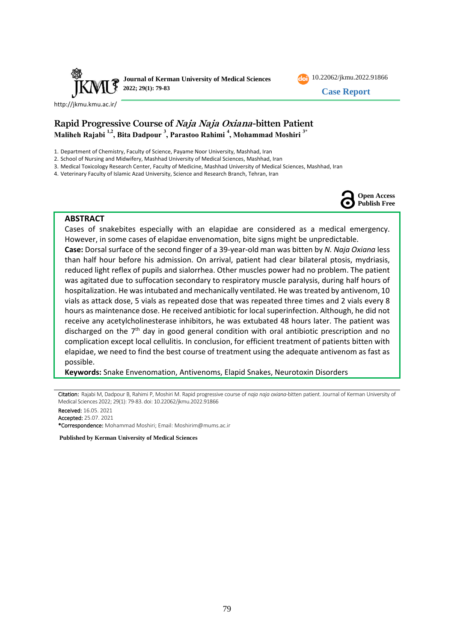

10.22062/jkmu.2022.91866

**Case Report**

<http://jkmu.kmu.ac.ir/>

# **Rapid Progressive Course of Naja Naja Oxiana-bitten Patient Maliheh Rajabi 1,2, Bita Dadpour <sup>3</sup> , Parastoo Rahimi <sup>4</sup> , Mohammad Moshiri 3\***

1. Department of Chemistry, Faculty of Science, Payame Noor University, Mashhad, Iran

2. School of Nursing and Midwifery, Mashhad University of Medical Sciences, Mashhad, Iran

3. Medical Toxicology Research Center, Faculty of Medicine, Mashhad University of Medical Sciences, Mashhad, Iran

4. Veterinary Faculty of Islamic Azad University, Science and Research Branch, Tehran, Iran



#### **ABSTRACT**

Cases of snakebites especially with an elapidae are considered as a medical emergency. However, in some cases of elapidae envenomation, bite signs might be unpredictable. **Case:** Dorsal surface of the second finger of a 39-year-old man was bitten by *N. Naja Oxiana* less than half hour before his admission. On arrival, patient had clear bilateral ptosis, mydriasis, reduced light reflex of pupils and sialorrhea. Other muscles power had no problem. The patient was agitated due to suffocation secondary to respiratory muscle paralysis, during half hours of hospitalization. He was intubated and mechanically ventilated. He was treated by antivenom, 10 vials as attack dose, 5 vials as repeated dose that was repeated three times and 2 vials every 8 hours as maintenance dose. He received antibiotic for local superinfection. Although, he did not receive any acetylcholinesterase inhibitors, he was extubated 48 hours later. The patient was discharged on the  $7<sup>th</sup>$  day in good general condition with oral antibiotic prescription and no complication except local cellulitis. In conclusion, for efficient treatment of patients bitten with elapidae, we need to find the best course of treatment using the adequate antivenom as fast as possible.

**Keywords:** Snake Envenomation, Antivenoms, Elapid Snakes, Neurotoxin Disorders

Citation: Rajabi M, Dadpour B, Rahimi P, Moshiri M. Rapid progressive course of *naja naja oxiana*-bitten patient. Journal of Kerman University of Medical Sciences 2022; 29(1): 79-83. doi: 10.22062/jkmu.2022.91866

Received: 16.05. 2021 Accepted: 25.07. 2021

\*Correspondence: Mohammad Moshiri; Email: [Moshirim@mums.ac.ir](mailto:Moshirim@mums.ac.ir) 

**Published by Kerman University of Medical Sciences**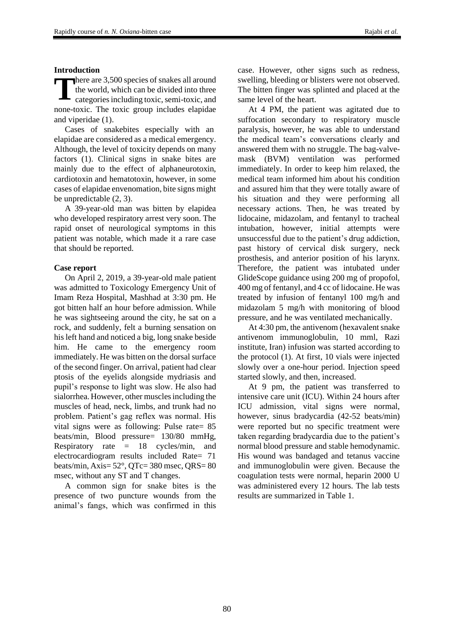#### **Introduction**

here are 3,500 species of snakes all around the world, which can be divided into three categories including toxic, semi-toxic, and none-toxic. The toxic group includes elapidae and viperidae (1). **T**

Cases of snakebites especially with an elapidae are considered as a medical emergency. Although, the level of toxicity depends on many factors (1). Clinical signs in snake bites are mainly due to the effect of alphaneurotoxin, cardiotoxin and hematotoxin, however, in some cases of elapidae envenomation, bite signs might be unpredictable (2, 3).

A 39-year-old man was bitten by elapidea who developed respiratory arrest very soon. The rapid onset of neurological symptoms in this patient was notable, which made it a rare case that should be reported.

#### **Case report**

On April 2, 2019, a 39-year-old male patient was admitted to Toxicology Emergency Unit of Imam Reza Hospital, Mashhad at 3:30 pm. He got bitten half an hour before admission. While he was sightseeing around the city, he sat on a rock, and suddenly, felt a burning sensation on his left hand and noticed a big, long snake beside him. He came to the emergency room immediately. He was bitten on the dorsal surface of the second finger. On arrival, patient had clear ptosis of the eyelids alongside mydriasis and pupil's response to light was slow. He also had sialorrhea. However, other muscles including the muscles of head, neck, limbs, and trunk had no problem. Patient's gag reflex was normal. His vital signs were as following: Pulse rate= 85 beats/min, Blood pressure= 130/80 mmHg, Respiratory rate  $= 18$  cycles/min, and electrocardiogram results included Rate= 71 beats/min, Axis= 52°, QTc= 380 msec, QRS= 80 msec, without any ST and T changes.

A common sign for snake bites is the presence of two puncture wounds from the animal's fangs, which was confirmed in this

case. However, other signs such as redness, swelling, bleeding or blisters were not observed. The bitten finger was splinted and placed at the same level of the heart.

At 4 PM, the patient was agitated due to suffocation secondary to respiratory muscle paralysis, however, he was able to understand the medical team's conversations clearly and answered them with no struggle. The bag-valvemask (BVM) ventilation was performed immediately. In order to keep him relaxed, the medical team informed him about his condition and assured him that they were totally aware of his situation and they were performing all necessary actions. Then, he was treated by lidocaine, midazolam, and fentanyl to tracheal intubation, however, initial attempts were unsuccessful due to the patient's drug addiction, past history of cervical disk surgery, neck prosthesis, and anterior position of his larynx. Therefore, the patient was intubated under GlideScope guidance using 200 mg of propofol, 400 mg of fentanyl, and 4 cc of lidocaine. He was treated by infusion of fentanyl 100 mg/h and midazolam 5 mg/h with monitoring of blood pressure, and he was ventilated mechanically.

At 4:30 pm, the antivenom (hexavalent snake antivenom immunoglobulin, 10 mml, Razi institute, Iran) infusion was started according to the protocol (1). At first, 10 vials were injected slowly over a one-hour period. Injection speed started slowly, and then, increased.

At 9 pm, the patient was transferred to intensive care unit (ICU). Within 24 hours after ICU admission, vital signs were normal, however, sinus bradycardia (42-52 beats/min) were reported but no specific treatment were taken regarding bradycardia due to the patient's normal blood pressure and stable hemodynamic. His wound was bandaged and tetanus vaccine and immunoglobulin were given. Because the coagulation tests were normal, heparin 2000 U was administered every 12 hours. The lab tests results are summarized in Table 1.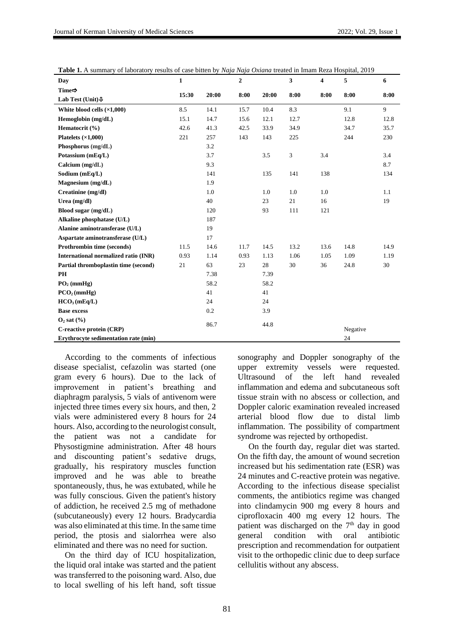| Day                                         | $\mathbf{1}$ |       | $\mathbf{2}$ |       | 3              | $\overline{\mathbf{4}}$ | 5        | 6    |
|---------------------------------------------|--------------|-------|--------------|-------|----------------|-------------------------|----------|------|
| Time $\Rightarrow$                          | 15:30        | 20:00 | 8:00         | 20:00 | 8:00           | 8:00                    | 8:00     | 8:00 |
| Lab Test (Unit) $\Phi$                      |              |       |              |       |                |                         |          |      |
| White blood cells $(\times 1,000)$          | 8.5          | 14.1  | 15.7         | 10.4  | 8.3            |                         | 9.1      | 9    |
| Hemoglobin (mg/dL)                          | 15.1         | 14.7  | 15.6         | 12.1  | 12.7           |                         | 12.8     | 12.8 |
| Hematocrit (%)                              | 42.6         | 41.3  | 42.5         | 33.9  | 34.9           |                         | 34.7     | 35.7 |
| Platelets $(\times 1,000)$                  | 221          | 257   | 143          | 143   | 225            |                         | 244      | 230  |
| Phosphorus (mg/dL)                          |              | 3.2   |              |       |                |                         |          |      |
| Potassium (mEq/L)                           |              | 3.7   |              | 3.5   | $\mathfrak{Z}$ | 3.4                     |          | 3.4  |
| Calcium (mg/dL)                             |              | 9.3   |              |       |                |                         |          | 8.7  |
| Sodium (mEq/L)                              |              | 141   |              | 135   | 141            | 138                     |          | 134  |
| Magnesium (mg/dL)                           |              | 1.9   |              |       |                |                         |          |      |
| Creatinine (mg/dl)                          |              | 1.0   |              | 1.0   | 1.0            | 1.0                     |          | 1.1  |
| Urea (mg/dl)                                |              | 40    |              | 23    | 21             | 16                      |          | 19   |
| Blood sugar (mg/dL)                         |              | 120   |              | 93    | 111            | 121                     |          |      |
| Alkaline phosphatase (U/L)                  |              | 187   |              |       |                |                         |          |      |
| Alanine aminotransferase (U/L)              |              | 19    |              |       |                |                         |          |      |
| Aspartate aminotransferase (U/L)            |              | 17    |              |       |                |                         |          |      |
| Prothrombin time (seconds)                  | 11.5         | 14.6  | 11.7         | 14.5  | 13.2           | 13.6                    | 14.8     | 14.9 |
| International normalized ratio (INR)        | 0.93         | 1.14  | 0.93         | 1.13  | 1.06           | 1.05                    | 1.09     | 1.19 |
| Partial thromboplastin time (second)        | 21           | 63    | 23           | 28    | 30             | 36                      | 24.8     | 30   |
| PH                                          |              | 7.38  |              | 7.39  |                |                         |          |      |
| $PO2$ (mmHg)                                |              | 58.2  |              | 58.2  |                |                         |          |      |
| PCO <sub>2</sub> (mmHg)                     |              | 41    |              | 41    |                |                         |          |      |
| HCO <sub>3</sub> (mEq/L)                    |              | 24    |              | 24    |                |                         |          |      |
| <b>Base excess</b>                          |              | 0.2   |              | 3.9   |                |                         |          |      |
| $O_2$ sat $(\% )$                           | 86.7         |       |              | 44.8  |                |                         |          |      |
| C-reactive protein (CRP)                    |              |       |              |       |                |                         | Negative |      |
| <b>Erythrocyte sedimentation rate (min)</b> |              |       |              |       |                |                         | 24       |      |

**Table 1.** A summary of laboratory results of case bitten by *Naja Naja Oxiana* treated in Imam Reza Hospital, 2019

According to the comments of infectious disease specialist, cefazolin was started (one gram every 6 hours). Due to the lack of improvement in patient's breathing and diaphragm paralysis, 5 vials of antivenom were injected three times every six hours, and then, 2 vials were administered every 8 hours for 24 hours. Also, according to the neurologist consult, the patient was not a candidate for Physostigmine administration. After 48 hours and discounting patient's sedative drugs, gradually, his respiratory muscles function improved and he was able to breathe spontaneously, thus, he was extubated, while he was fully conscious. Given the patient's history of addiction, he received 2.5 mg of methadone (subcutaneously) every 12 hours. Bradycardia was also eliminated at this time. In the same time period, the ptosis and sialorrhea were also eliminated and there was no need for suction.

On the third day of ICU hospitalization, the liquid oral intake was started and the patient was transferred to the poisoning ward. Also, due to local swelling of his left hand, soft tissue sonography and Doppler sonography of the upper extremity vessels were requested. Ultrasound of the left hand revealed inflammation and edema and subcutaneous soft tissue strain with no abscess or collection, and Doppler caloric examination revealed increased arterial blood flow due to distal limb inflammation. The possibility of compartment syndrome was rejected by orthopedist.

On the fourth day, regular diet was started. On the fifth day, the amount of wound secretion increased but his sedimentation rate (ESR) was 24 minutes and C-reactive protein was negative. According to the infectious disease specialist comments, the antibiotics regime was changed into clindamycin 900 mg every 8 hours and ciprofloxacin 400 mg every 12 hours. The patient was discharged on the  $7<sup>th</sup>$  day in good general condition with oral antibiotic prescription and recommendation for outpatient visit to the orthopedic clinic due to deep surface cellulitis without any abscess.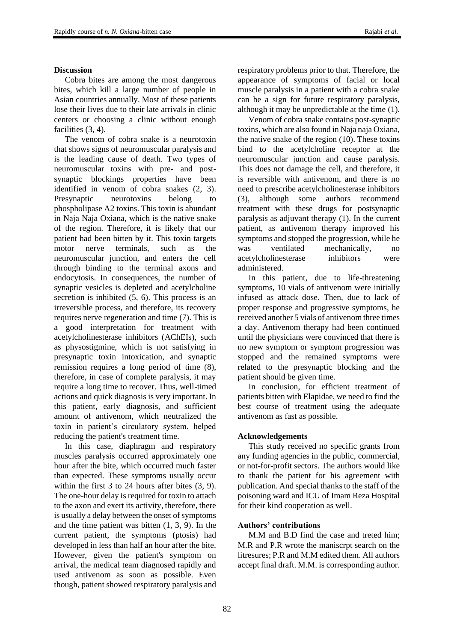### **Discussion**

Cobra bites are among the most dangerous bites, which kill a large number of people in Asian countries annually. Most of these patients lose their lives due to their late arrivals in clinic centers or choosing a clinic without enough facilities  $(3, 4)$ .

The venom of cobra snake is a neurotoxin that shows signs of neuromuscular paralysis and is the leading cause of death. Two types of neuromuscular toxins with pre- and postsynaptic blockings properties have been identified in venom of cobra snakes (2, 3). Presynaptic neurotoxins belong to phospholipase A2 toxins. This toxin is abundant in Naja Naja Oxiana, which is the native snake of the region. Therefore, it is likely that our patient had been bitten by it. This toxin targets motor nerve terminals, such as the neuromuscular junction, and enters the cell through binding to the terminal axons and endocytosis. In consequences, the number of synaptic vesicles is depleted and acetylcholine secretion is inhibited (5, 6). This process is an irreversible process, and therefore, its recovery requires nerve regeneration and time (7). This is a good interpretation for treatment with acetylcholinesterase inhibitors (AChEIs), such as physostigmine, which is not satisfying in presynaptic toxin intoxication, and synaptic remission requires a long period of time (8), therefore, in case of complete paralysis, it may require a long time to recover. Thus, well-timed actions and quick diagnosis is very important. In this patient, early diagnosis, and sufficient amount of antivenom, which neutralized the toxin in patient's circulatory system, helped reducing the patient's treatment time.

In this case, diaphragm and respiratory muscles paralysis occurred approximately one hour after the bite, which occurred much faster than expected. These symptoms usually occur within the first 3 to 24 hours after bites (3, 9). The one-hour delay is required for toxin to attach to the axon and exert its activity, therefore, there is usually a delay between the onset of symptoms and the time patient was bitten (1, 3, 9). In the current patient, the symptoms (ptosis) had developed in less than half an hour after the bite. However, given the patient's symptom on arrival, the medical team diagnosed rapidly and used antivenom as soon as possible. Even though, patient showed respiratory paralysis and respiratory problems prior to that. Therefore, the appearance of symptoms of facial or local muscle paralysis in a patient with a cobra snake can be a sign for future respiratory paralysis, although it may be unpredictable at the time (1).

Venom of cobra snake contains post-synaptic toxins, which are also found in Naja naja Oxiana, the native snake of the region (10). These toxins bind to the acetylcholine receptor at the neuromuscular junction and cause paralysis. This does not damage the cell, and therefore, it is reversible with antivenom, and there is no need to prescribe acetylcholinesterase inhibitors (3), although some authors recommend treatment with these drugs for postsynaptic paralysis as adjuvant therapy (1). In the current patient, as antivenom therapy improved his symptoms and stopped the progression, while he was ventilated mechanically, no acetylcholinesterase inhibitors were administered.

In this patient, due to life-threatening symptoms, 10 vials of antivenom were initially infused as attack dose. Then, due to lack of proper response and progressive symptoms, he received another 5 vials of antivenom three times a day. Antivenom therapy had been continued until the physicians were convinced that there is no new symptom or symptom progression was stopped and the remained symptoms were related to the presynaptic blocking and the patient should be given time.

In conclusion, for efficient treatment of patients bitten with Elapidae, we need to find the best course of treatment using the adequate antivenom as fast as possible.

### **Acknowledgements**

This study received no specific grants from any funding agencies in the public, commercial, or not-for-profit sectors. The authors would like to thank the patient for his agreement with publication. And special thanks to the staff of the poisoning ward and ICU of Imam Reza Hospital for their kind cooperation as well.

### **Authors' contributions**

M.M and B.D find the case and treted him; M.R and P.R wrote the maniscrpt search on the litresures; P.R and M.M edited them. All authors accept final draft. M.M. is corresponding author.